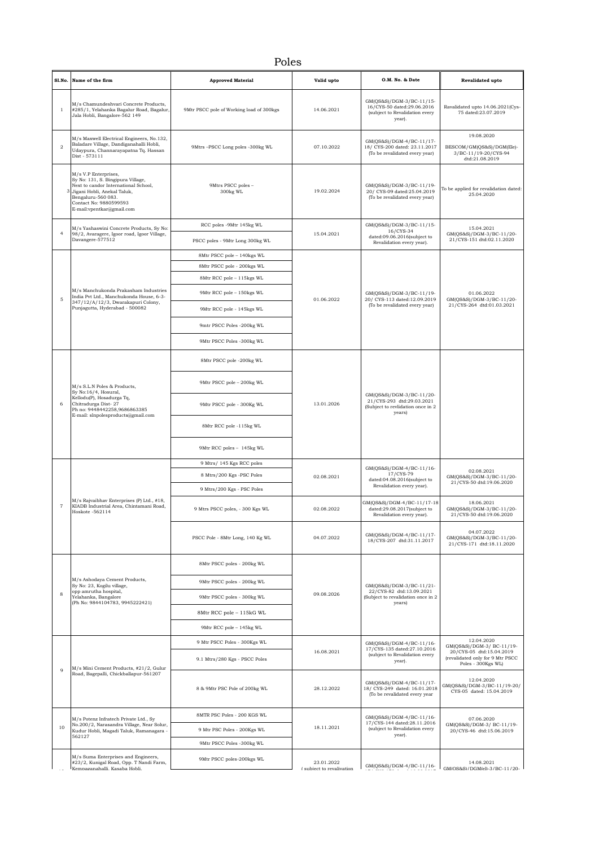## Poles

| Sl.No.         | Name of the firm                                                                                                                                                                                                | <b>Approved Material</b>                 | Valid upto                              | O.M. No. & Date                                                                                      | Revalidated upto                                                                   |
|----------------|-----------------------------------------------------------------------------------------------------------------------------------------------------------------------------------------------------------------|------------------------------------------|-----------------------------------------|------------------------------------------------------------------------------------------------------|------------------------------------------------------------------------------------|
| $\mathbf{1}$   | M/s Chamundeshvari Concrete Products,<br>#285/1, Yelahanka Bagalur Road, Bagalur,<br>Jala Hobli, Bangalore-562 149                                                                                              | 9Mtr PSCC pole of Working load of 300kgs | 14.06.2021                              | GM(QS&S)/DGM-3/BC-11/15-<br>16/CYS-50 dated:29.06.2016<br>(subject to Revalidation every<br>year).   | Ravalidated upto 14.06.2021(Cys-<br>75 dated:23.07.2019                            |
| $\overline{2}$ | M/s Maxwell Electrical Engineers, No.132,<br>Baladare Village, Dandiganahalli Hobli,<br>Udaypura, Channarayapatna Tq. Hassan<br>Dist - 573111                                                                   | 9Mtrs -PSCC Long poles -300kg WL         | 07.10.2022                              | GM(QS&S)/DGM-4/BC-11/17-<br>18/ CYS-200 dated: 23.11.2017<br>(To be revalidated every year)          | 19.08.2020<br>BESCOM/GM(QS&S)/DGM(Ele)-<br>3/BC-11/19-20/CYS-94<br>dtd:21.08.2019  |
|                | M/s V.P Enterprises,<br>Sy No: 131, S. Bingipura Village,<br>Next to candor International School,<br>3 Jigani Hobli, Anekal Taluk,<br>Bengaluru-560 083.<br>Contact No: 9880599593<br>E-mail:vpentkar@gmail.com | 9Mtrs PSCC poles -<br>300kg WL           | 19.02.2024                              | GM(QS&S)/DGM-3/BC-11/19-<br>20/ CYS-09 dated:25.04.2019<br>(To be revalidated every year)            | To be applied for revalidation dated:<br>25.04.2020                                |
|                | M/s Yashaswini Concrete Products, Sy No:                                                                                                                                                                        | RCC poles -9Mtr 145kg WL                 |                                         | GM(QS&S)/DGM-3/BC-11/15-<br>16/CYS-34                                                                | 15.04.2021                                                                         |
| $\overline{4}$ | 98/2, Avaragere, Igoor road, Igoor Village,<br>Davangere-577512                                                                                                                                                 | PSCC poles - 9Mtr Long 300kg WL          | 15.04.2021                              | dated:09.06.2016(subject to<br>Revalidation every year).                                             | GM(QS&S)/DGM-3/BC-11/20-<br>21/CYS-151 dtd:02.11.2020                              |
|                |                                                                                                                                                                                                                 | 8Mtr PSCC pole - 140kgs WL               |                                         |                                                                                                      |                                                                                    |
|                |                                                                                                                                                                                                                 | 8Mtr PSCC pole - 200kgs WL               |                                         |                                                                                                      |                                                                                    |
|                | M/s Manchukonda Prakasham Industries                                                                                                                                                                            | 8Mtr RCC pole - 115kgs WL                |                                         |                                                                                                      |                                                                                    |
| 5              | India Pvt Ltd., Manchukonda House, 6-3-<br>347/12/A/12/3, Dwarakapuri Colony,                                                                                                                                   | 9Mtr RCC pole - 150kgs WL                | 01.06.2022                              | GM(QS&S)/DGM-3/BC-11/19-<br>20/ CYS-113 dated:12.09.2019<br>(To be revalidated every year)           | 01.06.2022<br>GM(QS&S)/DGM-3/BC-11/20-                                             |
|                | Punjagutta, Hyderabad - 500082                                                                                                                                                                                  | 9Mtr RCC pole - 145kgs WL                |                                         |                                                                                                      | 21/CYS-264 dtd:01.03.2021                                                          |
|                |                                                                                                                                                                                                                 | 9mtr PSCC Poles -200kg WL                |                                         |                                                                                                      |                                                                                    |
|                |                                                                                                                                                                                                                 | 9Mtr PSCC Poles -300kg WL                |                                         |                                                                                                      |                                                                                    |
|                |                                                                                                                                                                                                                 | 8Mtr PSCC pole -200kg WL                 |                                         | GM(QS&S)/DGM-3/BC-11/20-<br>21/CYS-293 dtd:29.03.2021<br>(Subject to revlidation once in 2<br>years) |                                                                                    |
|                | M/s S.L.N Poles & Products,<br>Sy No:16/4, Hosural,<br>Kellodu(P), Hosadurga Tq,<br>Chitradurga Dist-27<br>Ph no: 9448442258,9686863385<br>E-mail: slnpolesproducts@gmail.com                                   | 9Mtr PSCC pole - 200kg WL                | 13.01.2026                              |                                                                                                      |                                                                                    |
| 6              |                                                                                                                                                                                                                 | 9Mtr PSCC pole - 300Kg WL                |                                         |                                                                                                      |                                                                                    |
|                |                                                                                                                                                                                                                 | 8Mtr RCC pole -115kg WL                  |                                         |                                                                                                      |                                                                                    |
|                |                                                                                                                                                                                                                 | 9Mtr RCC poles - 145kg WL                |                                         |                                                                                                      |                                                                                    |
|                | M/s Rajvaibhav Enterprises (P) Ltd., #18,<br>KIADB Industrial Area, Chintamani Road,<br>Hoskote -562114                                                                                                         | 9 Mtrs/ 145 Kgs RCC poles                | 02.08.2021                              | GM(QS&S)/DGM-4/BC-11/16-<br>17/CYS-79<br>dated:04.08.2016(subject to<br>Revalidation every year).    | 02.08.2021                                                                         |
|                |                                                                                                                                                                                                                 | 8 Mtrs/200 Kgs -PSC Poles                |                                         |                                                                                                      | GM(QS&S)/DGM-3/BC-11/20-<br>21/CYS-50 dtd:19.06.2020                               |
|                |                                                                                                                                                                                                                 | 9 Mtrs/200 Kgs - PSC Poles               |                                         |                                                                                                      |                                                                                    |
| $\overline{7}$ |                                                                                                                                                                                                                 | 9 Mtrs PSCC poles, - 300 Kgs WL          | 02.08.2022                              | GM(QS&S)/DGM-4/BC-11/17-18<br>dated:29.08.2017(subject to<br>Revalidation every year).               | 18.06.2021<br>GM(QS&S)/DGM-3/BC-11/20-<br>21/CYS-50 dtd:19.06.2020                 |
|                |                                                                                                                                                                                                                 | PSCC Pole - 8Mtr Long, 140 Kg WL         | 04.07.2022                              | GM(QS&S)/DGM-4/BC-11/17-<br>18/CYS-207 dtd:31.11.2017                                                | 04.07.2022<br>GM(QS&S)/DGM-3/BC-11/20-<br>21/CYS-171 dtd:18.11.2020                |
|                | M/s Ashodaya Cement Products,<br>Sy No: 23, Kogilu village,<br>opp amrutha hospital,<br>Yelahanka, Bangalore<br>(Ph No: 9844104783, 9945222421)                                                                 | 8Mtr PSCC poles - 200kg WL               |                                         | GM(QS&S)/DGM-3/BC-11/21-<br>22/CYS-82 dtd:13.09.2021<br>(Subject to revalidation once in 2<br>years) |                                                                                    |
|                |                                                                                                                                                                                                                 | 9Mtr PSCC poles - 200kg WL               |                                         |                                                                                                      |                                                                                    |
| 8              |                                                                                                                                                                                                                 | 9Mtr PSCC poles - 300kg WL               | 09.08.2026                              |                                                                                                      |                                                                                    |
|                |                                                                                                                                                                                                                 | 8Mtr RCC pole - 115kG WL                 |                                         |                                                                                                      |                                                                                    |
|                |                                                                                                                                                                                                                 | 9Mtr RCC pole - 145kg WL                 |                                         |                                                                                                      |                                                                                    |
|                | M/s Mini Cement Products, #21/2, Gulur<br>Road, Bagepalli, Chickballapur-561207                                                                                                                                 | 9 Mtr PSCC Poles - 300Kgs WL             |                                         | GM(QS&S)/DGM-4/BC-11/16-<br>17/CYS-135 dated:27.10.2016<br>(subject to Revalidation every<br>year).  | 12.04.2020<br>GM(QS&S)/DGM-3/ BC-11/19-                                            |
| 9              |                                                                                                                                                                                                                 | 9.1 Mtrs/280 Kgs - PSCC Poles            | 16.08.2021                              |                                                                                                      | 20/CYS-05 dtd:15.04.2019<br>(revalidated only for 9 Mtr PSCC<br>Poles - 300Kgs WL) |
|                |                                                                                                                                                                                                                 | 8 & 9Mtr PSC Pole of 200kg WL            | 28.12.2022                              | GM(QS&S)/DGM-4/BC-11/17-<br>18/ CYS-249 dated: 16.01.2018<br>(To be revalidated every year           | 12.04.2020<br>GM(QS&S)/DGM-3/BC-11/19-20/<br>CYS-05 dated: 15.04.2019              |
|                | M/s Potenz Infratech Private Ltd., Sy<br>No.200/2, Narasandra Village, Near Solur,<br>Kudur Hobli, Magadi Taluk, Ramanagara -<br>562127                                                                         | 8MTR PSC Poles - 200 KGS WL              |                                         | GM(QS&S)/DGM-4/BC-11/16-<br>17/CYS-144 dated:28.11.2016<br>(subject to Revalidation every<br>year).  | 07.06.2020                                                                         |
| 10             |                                                                                                                                                                                                                 | 9 Mtr PSC Poles - 200Kgs WL              | 18.11.2021                              |                                                                                                      | GM(QS&S)/DGM-3/ BC-11/19-<br>20/CYS-46 dtd:15.06.2019                              |
|                |                                                                                                                                                                                                                 | 9Mtr PSCC Poles -300kg WL                |                                         |                                                                                                      |                                                                                    |
|                | M/s Suma Enterprises and Engineers,<br>#23/2, Kunigal Road, Opp. T Nandi Farm,<br>Kemnaganahalli. Kasaha Hohli.                                                                                                 | 9Mtr PSCC poles-200kgs WL                | 23.01.2022<br>I subject to revalivation | GM(QS&S)/DGM-4/BC-11/16-                                                                             | 14.08.2021<br>GMIOS&SI/DGMIell-3/BC-11/20-                                         |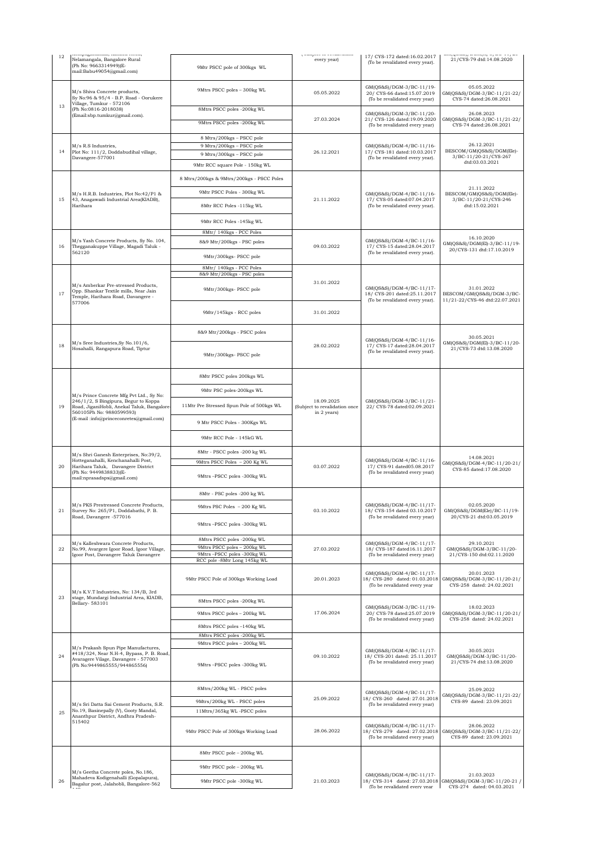| 12 | ivimpagananam, ivasava rivon,<br>Nelamangala, Bangalore Rural<br>(Ph No: 9663314949)(E-<br>mail:Babu49054@gmail.com)                                                                                  | 9Mtr PSCC pole of 300kgs WL                                           | <i>( outfoot to invantation</i><br>every year)             | 17/ CYS-172 dated:16.02.2017<br>(To be revalidated every year).                             | and from the finitum filmes the sec<br>21/CYS-79 dtd:14.08.2020                                       |  |
|----|-------------------------------------------------------------------------------------------------------------------------------------------------------------------------------------------------------|-----------------------------------------------------------------------|------------------------------------------------------------|---------------------------------------------------------------------------------------------|-------------------------------------------------------------------------------------------------------|--|
| 13 | M/s Shiva Concrete products,<br>Sy No:96 & 95/4 - B.P. Road - Oorukere<br>Village, Tumkur - 572106<br>(Ph No:0816-2018038)<br>(Email:sbp.tumkur@gmail.com).                                           | 9Mtrs PSCC poles - 300kg WL                                           | 05.05.2022                                                 | GM(QS&S)/DGM-3/BC-11/19-<br>20/ CYS-66 dated:15.07.2019<br>(To be revalidated every year)   | 05.05.2022<br>GM(QS&S)/DGM-3/BC-11/21-22/<br>CYS-74 dated:26.08.2021                                  |  |
|    |                                                                                                                                                                                                       | 8Mtrs PSCC poles -200kg WL<br>9Mtrs PSCC poles -200kg WL              | 27.03.2024                                                 | GM(QS&S)/DGM-3/BC-11/20-<br>21/ CYS-126 dated:19.09.2020<br>(To be revalidated every year)  | 26.08.2023<br>GM(QS&S)/DGM-3/BC-11/21-22/<br>CYS-74 dated:26.08.2021                                  |  |
| 14 | M/s R.S Industries,                                                                                                                                                                                   | 8 Mtrs/200kgs - PSCC pole<br>9 Mtrs/200kgs - PSCC pole                |                                                            | GM(QS&S)/DGM-4/BC-11/16-                                                                    | 26.12.2021                                                                                            |  |
|    | Plot No: 111/2, Doddabudihal village,                                                                                                                                                                 | 9 Mtrs/300kgs - PSCC pole                                             | 26.12.2021                                                 | 17/ CYS-181 dated:10.03.2017<br>(To be revalidated every year).                             | BESCOM/GM(QS&S)/DGM(Ele)-<br>3/BC-11/20-21/CYS-267                                                    |  |
|    | Davangere-577001                                                                                                                                                                                      | 9Mtr RCC square Pole - 150kg WL                                       |                                                            |                                                                                             | dtd:03.03.2021                                                                                        |  |
|    |                                                                                                                                                                                                       | 8 Mtrs/200kgs & 9Mtrs/200kgs - PSCC Poles                             |                                                            |                                                                                             |                                                                                                       |  |
|    | M/s H.R.B. Industries, Plot No:42/P1 &<br>43, Anagawadi Industrial Area(KIADB),<br>Harihara                                                                                                           | 9Mtr PSCC Poles - 300kg WL                                            | 21.11.2022                                                 | GM(QS&S)/DGM-4/BC-11/16-<br>17/ CYS-05 dated:07.04.2017<br>(To be revalidated every year).  | 21.11.2022<br>BESCOM/GM(QS&S)/DGM(Ele)-<br>3/BC-11/20-21/CYS-246<br>dtd:15.02.2021                    |  |
| 15 |                                                                                                                                                                                                       | 8Mtr RCC Poles -115kg WL                                              |                                                            |                                                                                             |                                                                                                       |  |
|    |                                                                                                                                                                                                       | 9Mtr RCC Poles -145kg WL                                              |                                                            |                                                                                             |                                                                                                       |  |
|    |                                                                                                                                                                                                       | 8Mtr/ 140kgs - PCC Poles                                              |                                                            |                                                                                             | 16.10.2020                                                                                            |  |
| 16 | M/s Yash Concrete Products, Sy No. 104,<br>Thegganakuppe Village, Magadi Taluk -<br>562120                                                                                                            | 8&9 Mtr/200kgs - PSC poles                                            | 09.03.2022                                                 | GM(QS&S)/DGM-4/BC-11/16-<br>17/ CYS-15 dated:28.04.2017<br>(To be revalidated every year).  | GM(QS&S)/DGM(El)-3/BC-11/19-<br>20/CYS-131 dtd:17.10.2019                                             |  |
|    |                                                                                                                                                                                                       | 9Mtr/300kgs- PSCC pole                                                |                                                            |                                                                                             |                                                                                                       |  |
|    |                                                                                                                                                                                                       | 8Mtr/ 140kgs - PCC Poles<br>8&9 Mtr/200kgs - PSC poles                |                                                            |                                                                                             |                                                                                                       |  |
| 17 | M/s Amberkar Pre-stressed Products,<br>Opp. Shankar Textile mills, Near Jain<br>Temple, Harihara Road, Davangere -                                                                                    | 9Mtr/300kgs- PSCC pole                                                | 31.01.2022                                                 | GM(QS&S)/DGM-4/BC-11/17-<br>18/ CYS-201 dated:25.11.2017<br>(To be revalidated every year). | 31.01.2022<br>BESCOM/GM(QS&S)/DGM-3/BC-<br>11/21-22/CYS-46 dtd:22.07.2021                             |  |
|    | 577006                                                                                                                                                                                                | 9Mtr/145kgs - RCC poles                                               | 31.01.2022                                                 |                                                                                             |                                                                                                       |  |
|    |                                                                                                                                                                                                       | 8&9 Mtr/200kgs - PSCC poles                                           |                                                            |                                                                                             |                                                                                                       |  |
| 18 | M/s Sree Industries, Sy No.101/6,<br>Hosahalli, Rangapura Road, Tiptur                                                                                                                                | 9Mtr/300kgs- PSCC pole                                                | 28.02.2022                                                 | GM(QS&S)/DGM-4/BC-11/16-<br>17/ CYS-17 dated:28.04.2017<br>(To be revalidated every year).  | 30.05.2021<br>GM(QS&S)/DGM(El)-3/BC-11/20-<br>21/CYS-73 dtd:13.08.2020                                |  |
|    |                                                                                                                                                                                                       | 8Mtr PSCC poles 200kgs WL                                             |                                                            |                                                                                             |                                                                                                       |  |
| 19 |                                                                                                                                                                                                       | 9Mtr PSC poles-200kgs WL                                              | 18.09.2025<br>(Subject to revalidation once<br>in 2 years) | GM(QS&S)/DGM-3/BC-11/21-<br>22/ CYS-78 dated:02.09.2021                                     |                                                                                                       |  |
|    | M/s Prince Concrete Mfg Pvt Ltd., Sy No:<br>246/1/2, S Bingipura, Begur to Koppa<br>Road, JiganiHobli, Anekal Taluk, Bangalore-<br>560105Ph No: 9880599593)<br>(E-mail:info@princeconretes@gmail.com) | 11Mtr Pre Stressed Spun Pole of 500kgs WL                             |                                                            |                                                                                             |                                                                                                       |  |
|    |                                                                                                                                                                                                       | 9 Mtr PSCC Poles - 300Kgs WL                                          |                                                            |                                                                                             |                                                                                                       |  |
|    |                                                                                                                                                                                                       | 9Mtr RCC Pole - 145kG WL                                              |                                                            |                                                                                             |                                                                                                       |  |
|    | M/s Shri Ganesh Enterprises, No:39/2,                                                                                                                                                                 | 8Mtr - PSCC poles -200 kg WL                                          |                                                            | GM(QS&S)/DGM-4/BC-11/16-<br>17/ CYS-91 dated05.08.2017<br>(To be revalidated every year)    | 14.08.2021<br>GM(QS&S)/DGM-4/BC-11/20-21/<br>CYS-85 dated:17.08.2020                                  |  |
| 20 | Hotteganahalli, Kenchanahalli Post,<br>Harihara Taluk, Davangere District                                                                                                                             | 9Mtrs PSCC Poles - 200 Kg WL                                          | 03.07.2022                                                 |                                                                                             |                                                                                                       |  |
|    | (Ph No: 9449838833)(E-<br>mail:nprasadsps@gmail.com)                                                                                                                                                  | 9Mtrs-PSCC poles -300kg WL                                            |                                                            |                                                                                             |                                                                                                       |  |
|    |                                                                                                                                                                                                       | 8Mtr - PSC poles -200 kg WL                                           |                                                            | GM(QS&S)/DGM-4/BC-11/17-<br>18/ CYS-154 dated 03.10.2017                                    |                                                                                                       |  |
| 21 | M/s PKS Prestressed Concrete Products,<br>Survey No: 265/P1, Doddabathi, P. B.                                                                                                                        | 9Mtrs PSC Poles - 200 Kg WL                                           | 03.10.2022                                                 |                                                                                             | 02.05.2020<br>GM(QS&S)/DGM(Ele)/BC-11/19-                                                             |  |
|    | Road, Davangere -577016                                                                                                                                                                               | 9Mtrs-PSCC poles -300kg WL                                            |                                                            | (To be revalidated every year)                                                              | 20/CYS-21 dtd:03.05.2019                                                                              |  |
|    | M/s Kalleshwara Concrete Products,                                                                                                                                                                    | 8Mtrs PSCC poles -200kg WL                                            |                                                            | GM(QS&S)/DGM-4/BC-11/17-                                                                    | 29.10.2021                                                                                            |  |
| 22 | No.99, Avargere Igoor Road, Igoor Village,<br>Igoor Post, Davangere Taluk Davangere                                                                                                                   | 9Mtrs PSCC poles - 200kg WL<br>9Mtrs-PSCC poles -300kg WL             | 27.03.2022                                                 | 18/ CYS-187 dated16.11.2017<br>(To be revalidated every year)                               | GM(QS&S)/DGM-3/BC-11/20-<br>21/CYS-150 dtd:02.11.2020                                                 |  |
| 23 | M/s K.V.T Industries, No: 134/B, 3rd                                                                                                                                                                  | RCC pole -8Mtr Long 145kg WL<br>9Mtr PSCC Pole of 300kgs Working Load | 20.01.2023                                                 | GM(QS&S)/DGM-4/BC-11/17-<br>18/ CYS-280 dated: 01.03.2018<br>(To be revalidated every year  | 20.01.2023<br>GM(QS&S)/DGM-3/BC-11/20-21/<br>CYS-258 dated: 24.02.2021                                |  |
|    | stage, Mundargi Industrial Area, KIADB,<br>Bellary- 583101                                                                                                                                            | 8Mtrs PSCC poles -200kg WL                                            |                                                            |                                                                                             |                                                                                                       |  |
|    |                                                                                                                                                                                                       | 9Mtrs PSCC poles - 200kg WL                                           | 17.06.2024                                                 | GM(QS&S)/DGM-3/BC-11/19-<br>20/ CYS-78 dated:25.07.2019                                     | 18.02.2023<br>GM(QS&S)/DGM-3/BC-11/20-21/                                                             |  |
|    |                                                                                                                                                                                                       | 8Mtrs PSCC poles -140kg WL                                            |                                                            | (To be revalidated every year)                                                              | CYS-258 dated: 24.02.2021                                                                             |  |
|    |                                                                                                                                                                                                       | 8Mtrs PSCC poles -200kg WL                                            |                                                            |                                                                                             |                                                                                                       |  |
|    | M/s Prakash Spun Pipe Manufactures,<br>#418/324, Near N.H-4, Bypass, P. B. Road,<br>Avaragere Vilage, Davangere - 577003<br>(Ph No:9449865555/944865556)                                              | 9Mtrs PSCC poles - 200kg WL<br>9Mtrs -PSCC poles -300kg WL            | 09.10.2022                                                 | GM(QS&S)/DGM-4/BC-11/17-<br>18/ CYS-201 dated: 25.11.2017<br>(To be revalidated every year) | 30.05.2021<br>GM(QS&S)/DGM-3/BC-11/20-<br>21/CYS-74 dtd:13.08.2020                                    |  |
|    | M/s Sri Datta Sai Cement Products, S.R.<br>No.19, Basinepally (V), Gooty Mandal,<br>Ananthpur District, Andhra Pradesh-<br>515402                                                                     | 8Mtrs/200kg WL - PSCC poles                                           |                                                            | GM(QS&S)/DGM-4/BC-11/17-                                                                    | 25.09.2022<br>GM(QS&S)/DGM-3/BC-11/21-22/<br>CYS-89 dated: 23.09.2021                                 |  |
|    |                                                                                                                                                                                                       | 9Mtrs/200kg WL - PSCC poles                                           | 25.09.2022                                                 | 18/ CYS-260 dated: 27.01.2018<br>(To be revalidated every year)                             |                                                                                                       |  |
| 25 |                                                                                                                                                                                                       | 11Mtrs/365kg WL-PSCC poles                                            |                                                            |                                                                                             |                                                                                                       |  |
|    |                                                                                                                                                                                                       | 9Mtr PSCC Pole of 300kgs Working Load                                 | 28.06.2022                                                 | GM(QS&S)/DGM-4/BC-11/17-<br>18/ CYS-279 dated: 27.02.2018<br>(To be revalidated every year) | 28.06.2022<br>GM(QS&S)/DGM-3/BC-11/21-22/<br>CYS-89 dated: 23.09.2021                                 |  |
|    |                                                                                                                                                                                                       | 8Mtr PSCC pole - 200kg WL                                             |                                                            |                                                                                             |                                                                                                       |  |
|    | M/s Geetha Concrete poles, No.186,                                                                                                                                                                    | 9Mtr PSCC pole - 200kg WL                                             |                                                            |                                                                                             |                                                                                                       |  |
| 26 | Mahadeva Kodigenahalli (Gopalapura),<br>Bagalur post, Jalahobli, Bangalore-562                                                                                                                        | 9Mtr PSCC pole -300kg WL                                              | 21.03.2023                                                 | GM(QS&S)/DGM-4/BC-11/17-<br>(To be revalidated every year                                   | 21.03.2023<br>18/ CYS-314 dated: 27.03.2018 GM(QS&S)/DGM-3/BC-11/20-21 /<br>CYS-274 dated: 04.03.2021 |  |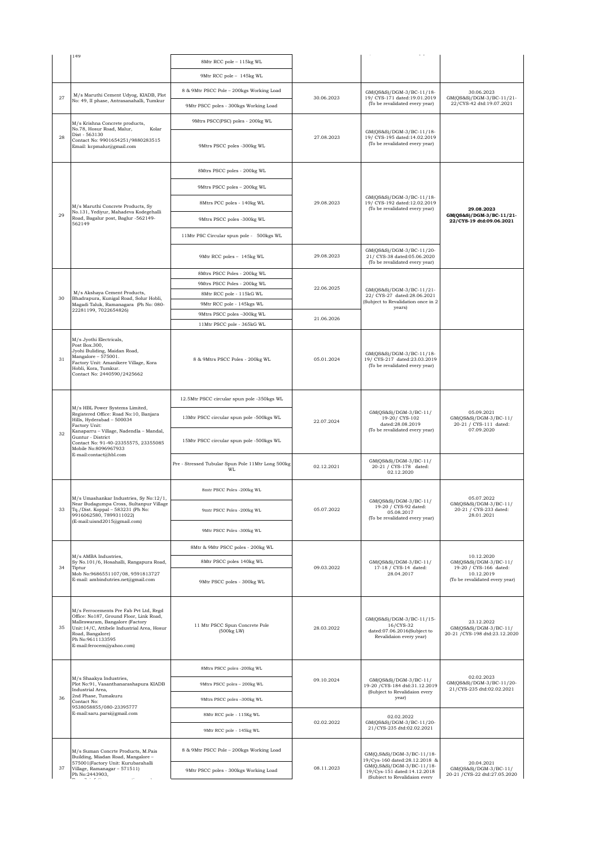| 149                                                                                                                                                                                                                                           |                                                         |            |                                                                                                 |                                                                             |  |
|-----------------------------------------------------------------------------------------------------------------------------------------------------------------------------------------------------------------------------------------------|---------------------------------------------------------|------------|-------------------------------------------------------------------------------------------------|-----------------------------------------------------------------------------|--|
|                                                                                                                                                                                                                                               | 8Mtr RCC pole - 115kg WL                                |            |                                                                                                 |                                                                             |  |
|                                                                                                                                                                                                                                               | 9Mtr RCC pole - 145kg WL                                |            |                                                                                                 |                                                                             |  |
| M/s Maruthi Cement Udyog, KIADB, Plot                                                                                                                                                                                                         | 8 & 9Mtr PSCC Pole - 200kgs Working Load                |            | GM(QS&S)/DGM-3/BC-11/18-                                                                        | 30.06.2023                                                                  |  |
| 27<br>No: 49, II phase, Antrasanahalli, Tumkur                                                                                                                                                                                                | 9Mtr PSCC poles - 300kgs Working Load                   | 30.06.2023 | 19/ CYS-171 dated:19.01.2019<br>(To be revalidated every year)                                  | GM(QS&S)/DGM-3/BC-11/21-<br>22/CYS-42 dtd:19.07.2021                        |  |
| M/s Krishna Concrete products,                                                                                                                                                                                                                | 9Mtrs PSCC(PSC) poles - 200kg WL                        |            |                                                                                                 |                                                                             |  |
| No.78, Hosur Road, Malur,<br>Kolar<br>Dist - 563130<br>28<br>Contact No: 9901654251/9880283515<br>Email: kcpmalur@gmail.com                                                                                                                   | 9Mtrs PSCC poles -300kg WL                              | 27.08.2023 | GM(QS&S)/DGM-3/BC-11/18-<br>19/ CYS-195 dated:14.02.2019<br>(To be revalidated every year)      |                                                                             |  |
|                                                                                                                                                                                                                                               | 8Mtrs PSCC poles - 200kg WL                             |            |                                                                                                 |                                                                             |  |
|                                                                                                                                                                                                                                               | 9Mtrs PSCC poles - 200kg WL                             | 29.08.2023 | GM(QS&S)/DGM-3/BC-11/18-<br>19/ CYS-192 dated:12.02.2019<br>(To be revalidated every year)      |                                                                             |  |
| M/s Maruthi Concrete Products, Sy                                                                                                                                                                                                             | 8Mtrs PCC poles - 140kg WL                              |            |                                                                                                 | 29.08.2023                                                                  |  |
| No.131, Yediyur, Mahadeva Kodegehalli<br>29<br>Road, Bagalur post, Baglur -562149-<br>562149                                                                                                                                                  | 9Mtrs PSCC poles -300kg WL                              |            |                                                                                                 | GM(QS&S)/DGM-3/BC-11/21-<br>22/CYS-19 dtd:09.06.2021                        |  |
|                                                                                                                                                                                                                                               | 11Mtr PSC Circular spun pole - 500kgs WL                |            |                                                                                                 |                                                                             |  |
|                                                                                                                                                                                                                                               | 9Mtr RCC poles - 145kg WL                               | 29.08.2023 | GM(QS&S)/DGM-3/BC-11/20-<br>21/ CYS-38 dated:05.06.2020<br>(To be revalidated every year)       |                                                                             |  |
|                                                                                                                                                                                                                                               | 8Mtrs PSCC Poles - 200kg WL                             |            |                                                                                                 |                                                                             |  |
|                                                                                                                                                                                                                                               | 9Mtrs PSCC Poles - 200kg WL                             |            |                                                                                                 |                                                                             |  |
| M/s Akshaya Cement Products,                                                                                                                                                                                                                  | 8Mtr RCC pole - 115kG WL                                | 22.06.2025 | GM(QS&S)/DGM-3/BC-11/21-<br>22/ CYS-27 dated:28.06.2021                                         |                                                                             |  |
| 30<br>Bhadrapura, Kunigal Road, Solur Hobli,<br>Magadi Taluk, Ramanagara (Ph No: 080-                                                                                                                                                         | 9Mtr RCC pole - 145kgs WL                               |            | (Subject to Revalidation once in 2                                                              |                                                                             |  |
| 22281199, 7022654826)                                                                                                                                                                                                                         | 9Mtrs PSCC poles -300kg WL                              |            | years)                                                                                          |                                                                             |  |
|                                                                                                                                                                                                                                               | 11Mtr PSCC pole - 365kG WL                              | 21.06.2026 |                                                                                                 |                                                                             |  |
| M/s Jyothi Electricals,<br>Post Box.300,<br>Jyohi Buliding, Maidan Road,<br>$Mangalore - 575001.$<br>31<br>Factory Unit: Amanikere Village, Kora<br>Hobli, Kora, Tumkur.<br>Contact No: 2440590/2425662                                       | 8 & 9Mtrs PSCC Poles - 200kg WL                         | 05.01.2024 | GM(QS&S)/DGM-3/BC-11/18-<br>19/ CYS-217 dated:23.03.2019<br>(To be revalidated every year)      |                                                                             |  |
|                                                                                                                                                                                                                                               | 12.5Mtr PSCC circular spun pole -350kgs WL              |            | GM(QS&S)/DGM-3/BC-11/<br>19-20/CYS-102<br>dated:28.08.2019                                      |                                                                             |  |
| M/s HBL Power Systems Limited,<br>Registered Office: Road No:10, Banjara<br>Hills, Hyderabad - 500034<br>Factory Unit:                                                                                                                        | 13Mtr PSCC circular spun pole -500kgs WL                | 22.07.2024 |                                                                                                 | 05.09.2021<br>GM(QS&S)/DGM-3/BC-11/<br>20-21 / CYS-111 dated:               |  |
| Kanaparru - Village, Nadendla - Mandal,<br>32<br>Guntur - District<br>Contact No: 91-40-23355575, 23355085<br>Mobile No:8096967933                                                                                                            | 15Mtr PSCC circular spun pole -500kgs WL                |            | (To be revalidated every year)                                                                  | 07.09.2020                                                                  |  |
| E-mail:contact@hbl.com                                                                                                                                                                                                                        | Pre - Stressed Tubular Spun Pole 11Mtr Long 500kg<br>WL | 02.12.2021 | GM(QS&S)/DGM-3/BC-11/<br>20-21 / CYS-178 dated:<br>02.12.2020                                   |                                                                             |  |
| M/s Umashankar Industries, Sy No:12/1,                                                                                                                                                                                                        | 8mtr PSCC Poles -200kg WL                               |            |                                                                                                 | 05.07.2022<br>GM(QS&S)/DGM-3/BC-11/<br>20-21 / CYS-233 dated:<br>28.01.2021 |  |
| Near Budagumpa Cross, Sultanpur Village<br>Tq./Dist. Koppal - 583231 (Ph No:<br>33<br>9916062580, 7899311022)<br>(E-mail:uisnd2015@gmail.com)                                                                                                 | 9mtr PSCC Poles -200kg WL                               | 05.07.2022 | GM(QS&S)/DGM-3/BC-11/<br>19-20 / CYS-92 dated:<br>05.08.2017<br>(To be revalidated every year)  |                                                                             |  |
|                                                                                                                                                                                                                                               | 9Mtr PSCC Poles -300kg WL                               |            |                                                                                                 |                                                                             |  |
|                                                                                                                                                                                                                                               | 8Mtr & 9Mtr PSCC poles - 200kg WL                       |            |                                                                                                 |                                                                             |  |
| M/s AMBA Industries,<br>Sy No.101/6, Hosahalli, Rangapura Road,                                                                                                                                                                               | 8Mtr PSCC poles 140kg WL                                |            | GM(QS&S)/DGM-3/BC-11/                                                                           | 10.12.2020<br>GM(QS&S)/DGM-3/BC-11/                                         |  |
| 34<br>Tiptur<br>Mob No:9686551107/08, 9591813727<br>E-mail: ambindutries.net@gmail.com                                                                                                                                                        | 9Mtr PSCC poles - 300kg WL                              | 09.03.2022 | 17-18 / CYS-14 dated:<br>28.04.2017                                                             | 19-20 / CYS-166 dated:<br>10.12.2019<br>(To be revalidated every year)      |  |
| M/s Ferrocements Pre Fab Pvt Ltd, Regd<br>Office: No187, Ground Floor, Link Road,<br>Malleswaram, Bangalore (Factory<br>35<br>Unit:14/C, Attibele Industrial Area, Hosur<br>Road, Bangalore)<br>Ph No:9611133595<br>E-mail:ferocem@yahoo.com) | 11 Mtr PSCC Spun Concrete Pole<br>(500kg LW)            | 28.03.2022 | GM(QS&S)/DGM-3/BC-11/15-<br>16/CYS-32<br>dated:07.06.2016(Subject to<br>Revalidaion every year) | 23.12.2022<br>GM(QS&S)/DGM-3/BC-11/<br>20-21 / CYS-198 dtd:23.12.2020       |  |
|                                                                                                                                                                                                                                               | 8Mtrs PSCC poles -200kg WL                              | 09.10.2024 |                                                                                                 |                                                                             |  |
| M/s Shaakya Industries,<br>Plot No:91, Vasanthanarashapura KIADB<br>Industrial Area,                                                                                                                                                          | 9Mtrs PSCC poles - 200kg WL                             |            | GM(QS&S)/DGM-3/BC-11/<br>19-20 / CYS-184 dtd:31.12.2019                                         | 02.02.2023<br>GM(QS&S)/DGM-3/BC-11/20-<br>21/CYS-235 dtd:02.02.2021         |  |
| 2nd Phase, Tumakuru<br>36                                                                                                                                                                                                                     | 9Mtrs PSCC poles -300kg WL                              |            | (Subject to Revalidaion every<br>year)                                                          |                                                                             |  |
| Contact No:                                                                                                                                                                                                                                   |                                                         |            |                                                                                                 |                                                                             |  |
| 9538058855/080-23395777<br>E-mail:saru.parsi@gmail.com                                                                                                                                                                                        | 8Mtr RCC pole - 115Kg WL                                |            | 02.02.2022                                                                                      |                                                                             |  |
|                                                                                                                                                                                                                                               | 9Mtr RCC pole - 145kg WL                                | 02.02.2022 | GM(QS&S)/DGM-3/BC-11/20-<br>21/CYS-235 dtd:02.02.2021                                           |                                                                             |  |
| M/s Suman Concrte Products, M.Pais<br>Building, Miadan Road, Mangalore -<br>575001(Factory Unit: Kurubarahalli                                                                                                                                | 8 & 9Mtr PSCC Pole - 200kgs Working Load                |            | GM(Q,S&S)/DGM-3/BC-11/18-<br>19/Cys-160 dated:28.12.2018 &<br>GM(Q,S&S)/DGM-3/BC-11/18-         | 20.04.2021                                                                  |  |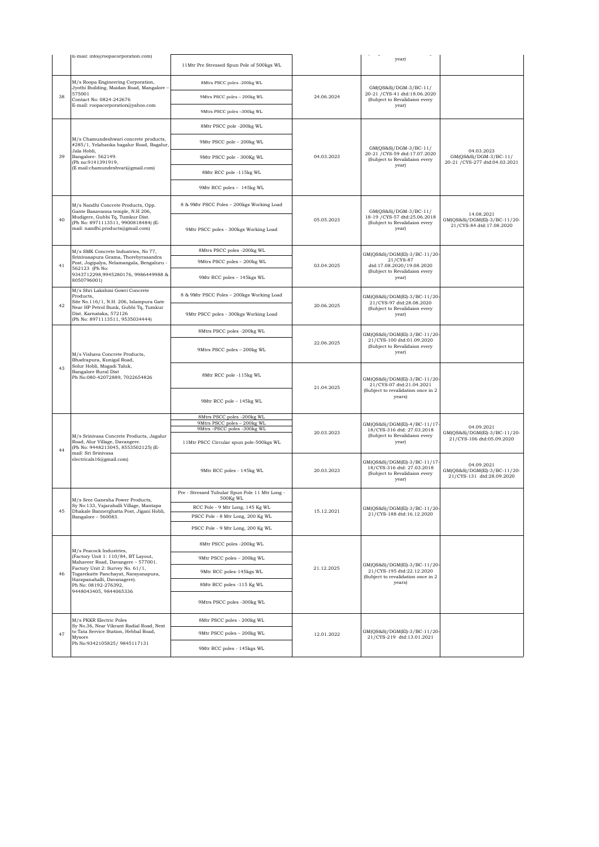|    | E-mail: info@roopacorporation.com)                                                                                                                                                                                                                                |                                                            |            | $\sqrt{2}$ and $\sqrt{2}$ and $\sqrt{2}$ and $\sqrt{2}$<br>year)                                                                                                                                                |                                                                         |
|----|-------------------------------------------------------------------------------------------------------------------------------------------------------------------------------------------------------------------------------------------------------------------|------------------------------------------------------------|------------|-----------------------------------------------------------------------------------------------------------------------------------------------------------------------------------------------------------------|-------------------------------------------------------------------------|
|    |                                                                                                                                                                                                                                                                   | 11Mtr Pre Stressed Spun Pole of 500kgs WL                  |            |                                                                                                                                                                                                                 |                                                                         |
|    | M/s Roopa Engineering Corporation,<br>Jyothi Building, Maidan Road, Mangalore -<br>575001<br>Contact No: 0824-242676<br>E-mail: roopacorporation@yahoo.com                                                                                                        | 8Mtrs PSCC poles -200kg WL                                 | 24.06.2024 | GM(QS&S)/DGM-3/BC-11/                                                                                                                                                                                           |                                                                         |
| 38 |                                                                                                                                                                                                                                                                   | 9Mtrs PSCC poles - 200kg WL                                |            | 20-21 / CYS-41 dtd:18.06.2020<br>(Subject to Revalidaion every<br>year)                                                                                                                                         |                                                                         |
|    |                                                                                                                                                                                                                                                                   | 9Mtrs PSCC poles -300kg WL                                 |            |                                                                                                                                                                                                                 |                                                                         |
|    | M/s Chamundeshwari concrete products,<br>#285/1, Yelahanka bagalur Road, Bagalur,<br>Jala Hobli,<br>Bangalore-562149.<br>(Ph no:9141391919,<br>(E mail:chamundeshvari@gmail.com)                                                                                  | 8Mtr PSCC pole -200kg WL                                   |            |                                                                                                                                                                                                                 |                                                                         |
| 39 |                                                                                                                                                                                                                                                                   | 9Mtr PSCC pole - 200kg WL                                  | 04.03.2023 | GM(QS&S)/DGM-3/BC-11/<br>20-21 / CYS-59 dtd:17.07.2020<br>(Subject to Revalidaion every<br>year)                                                                                                                |                                                                         |
|    |                                                                                                                                                                                                                                                                   | 9Mtr PSCC pole - 300Kg WL                                  |            |                                                                                                                                                                                                                 | 04.03.2023<br>GM(QS&S)/DGM-3/BC-11/<br>20-21 / CYS-277 dtd:04.03.2021   |
|    |                                                                                                                                                                                                                                                                   | 8Mtr RCC pole -115kg WL                                    |            |                                                                                                                                                                                                                 |                                                                         |
|    |                                                                                                                                                                                                                                                                   | 9Mtr RCC poles - 145kg WL                                  |            |                                                                                                                                                                                                                 |                                                                         |
|    | M/s Nandhi Concrete Products, Opp.                                                                                                                                                                                                                                | 8 & 9Mtr PSCC Poles - 200kgs Working Load                  |            | GM(QS&S)/DGM-3/BC-11/<br>18-19 / CYS-57 dtd:25.06.2018<br>(Subject to Revalidaion every<br>year)                                                                                                                |                                                                         |
| 40 | Gante Basavanna temple, N.H 206,<br>Mudigere, Gubbi Tq, Tumkur Dist.<br>(Ph No: 8971113511, 9900818484) (E-<br>mail: nandhi.products@gmail.com)                                                                                                                   | 9Mtr PSCC poles - 300kgs Working Load                      | 05.05.2023 |                                                                                                                                                                                                                 | 14.08.2021<br>GM(QS&S)/DGM(El)-3/BC-11/20-<br>21/CYS-84 dtd:17.08.2020  |
|    | M/s SMK Concrete Industries, No 77,<br>Srinivasapura Grama, Thorebyrasandra                                                                                                                                                                                       | 8Mtrs PSCC poles -200kg WL                                 |            | GM(QS&S)/DGM(El)-3/BC-11/20-                                                                                                                                                                                    |                                                                         |
| 41 | Post, Jogipalya, Nelamangala, Bengaluru -<br>562123 (Ph No:                                                                                                                                                                                                       | 9Mtrs PSCC poles - 200kg WL                                | 03.04.2025 | 21/CYS-87<br>dtd:17.08.2020/19.08.2020<br>(Subject to Revalidaion every<br>year)                                                                                                                                |                                                                         |
|    | 9343712298,9945280176, 9986449988 &<br>8050796001)                                                                                                                                                                                                                | 9Mtr RCC poles - 145kgs WL                                 |            |                                                                                                                                                                                                                 |                                                                         |
|    | M/s Shri Lakshmi Gowri Concrete<br>Products,<br>Site No.116/1, N.H. 206, Islampura Gate<br>Near HP Petrol Bunk, Gubbi Tq, Tumkur<br>Dist. Karnataka, 572126<br>(Ph No: 8971113511, 9535034444)                                                                    | 8 & 9Mtr PSCC Poles - 200kgs Working Load                  |            | GM(QS&S)/DGM(El)-3/BC-11/20-<br>21/CYS-97 dtd:28.08.2020<br>(Subject to Revalidaion every<br>year)                                                                                                              |                                                                         |
| 42 |                                                                                                                                                                                                                                                                   | 9Mtr PSCC poles - 300kgs Working Load                      | 20.06.2025 |                                                                                                                                                                                                                 |                                                                         |
| 43 | M/s Vishava Concrete Products,<br>Bhadrapura, Kunigal Road,<br>Solur Hobli, Magadi Taluk,<br>Bangalore Rural Dist<br>Ph No:080-42072889, 7022654826                                                                                                               | 8Mtrs PSCC poles -200kg WL                                 |            | GM(QS&S)/DGM(El)-3/BC-11/20-<br>21/CYS-100 dtd:01.09.2020<br>(Subject to Revalidaion every<br>year)<br>GM(QS&S)/DGM(El)-3/BC-11/20-<br>21/CYS-07 dtd:21.04.2021<br>(Subject to revalidation once in 2<br>years) |                                                                         |
|    |                                                                                                                                                                                                                                                                   | 9Mtrs PSCC poles - 200kg WL                                | 22.06.2025 |                                                                                                                                                                                                                 |                                                                         |
|    |                                                                                                                                                                                                                                                                   | 8Mtr RCC pole -115kg WL                                    | 21.04.2025 |                                                                                                                                                                                                                 |                                                                         |
|    |                                                                                                                                                                                                                                                                   | 9Mtr RCC pole - 145kg WL                                   |            |                                                                                                                                                                                                                 |                                                                         |
|    | M/s Srinivasa Concrete Products, Jagalur<br>Road, Alur Village, Davangere.<br>(Ph No: 9448213045, 8553502125) (E-<br>mail: Sri Srinivasa<br>electricals16@gmail.com)                                                                                              | 8Mtrs PSCC poles -200kg WL<br>9Mtrs PSCC poles - 200kg WL  | 20.03.2023 | GM(QS&S)/DGM(El)-4/BC-11/17<br>18/CYS-316 dtd: 27.03.2018<br>(Subject to Revalidaion every<br>year)                                                                                                             |                                                                         |
|    |                                                                                                                                                                                                                                                                   | 9Mtrs-PSCC poles -300kg WL                                 |            |                                                                                                                                                                                                                 | 04.09.2021<br>GM(QS&S)/DGM(El)-3/BC-11/20-                              |
| 44 |                                                                                                                                                                                                                                                                   | 11Mtr PSCC Circular spun pole-500kgs WL                    |            |                                                                                                                                                                                                                 | 21/CYS-106 dtd:05.09.2020                                               |
|    |                                                                                                                                                                                                                                                                   | 9Mtr RCC poles - 145kg WL                                  | 20.03.2023 | GM(QS&S)/DGM(El)-3/BC-11/17<br>18/CYS-316 dtd: 27.03.2018<br>(Subject to Revalidaion every<br>year)                                                                                                             | 04.09.2021<br>GM(QS&S)/DGM(El)-3/BC-11/20-<br>21/CYS-131 dtd:28.09.2020 |
|    | M/s Sree Ganesha Power Products,<br>Sy No:133, Vajarahalli Village, Mantapa<br>Dhakale Bannerghatta Post, Jigani Hobli,<br>Bangalore - 560083.                                                                                                                    | Pre - Stressed Tubular Spun Pole 11 Mtr Long -<br>500Kg WL | 15.12.2021 | GM(QS&S)/DGM(El)-3/BC-11/20-<br>21/CYS-188 dtd:16.12.2020                                                                                                                                                       |                                                                         |
| 45 |                                                                                                                                                                                                                                                                   | RCC Pole - 9 Mtr Long, 145 Kg WL                           |            |                                                                                                                                                                                                                 |                                                                         |
|    |                                                                                                                                                                                                                                                                   | PSCC Pole - 8 Mtr Long, 200 Kg WL                          |            |                                                                                                                                                                                                                 |                                                                         |
|    |                                                                                                                                                                                                                                                                   | PSCC Pole - 9 Mtr Long, 200 Kg WL                          |            |                                                                                                                                                                                                                 |                                                                         |
| 46 | M/s Peacock Industries,<br>(Factory Unit 1: 110/84, BT Layout,<br>Mahaveer Road, Davangere - 577001.<br>Factory Unit 2: Survey No. 61/1,<br>Togarekatte Panchayat, Narayanapura,<br>Harapanahalli, Davanagere).<br>Ph No: 08192-276392,<br>9448043405, 9844065336 | 8Mtr PSCC poles -200kg WL                                  |            |                                                                                                                                                                                                                 |                                                                         |
|    |                                                                                                                                                                                                                                                                   | 9Mtr PSCC poles - 200kg WL                                 | 21.12.2025 | GM(QS&S)/DGM(El)-3/BC-11/20-<br>21/CYS-195 dtd:22.12.2020<br>(Subject to revalidation once in 2                                                                                                                 |                                                                         |
|    |                                                                                                                                                                                                                                                                   | 9Mtr RCC poles-145kgs WL                                   |            |                                                                                                                                                                                                                 |                                                                         |
|    |                                                                                                                                                                                                                                                                   | 8Mtr RCC poles -115 Kg WL                                  |            | years)                                                                                                                                                                                                          |                                                                         |
|    |                                                                                                                                                                                                                                                                   | 9Mtrs PSCC poles -300kg WL                                 |            |                                                                                                                                                                                                                 |                                                                         |
|    | M/s PKKR Electric Poles<br>Sy No.36, Near Vikrant Radial Road, Next                                                                                                                                                                                               | 8Mtr PSCC poles - 200kg WL                                 |            |                                                                                                                                                                                                                 |                                                                         |
| 47 | to Tata Service Station, Hebbal Road,<br>Mysore                                                                                                                                                                                                                   | 9Mtr PSCC poles - 200kg WL                                 | 12.01.2022 | GM(QS&S)/DGM(El)-3/BC-11/20-<br>21/CYS-219 dtd:13.01.2021                                                                                                                                                       |                                                                         |
|    | Ph No:9342105825/ 9845117131                                                                                                                                                                                                                                      | 9Mtr RCC poles - 145kgs WL                                 |            |                                                                                                                                                                                                                 |                                                                         |